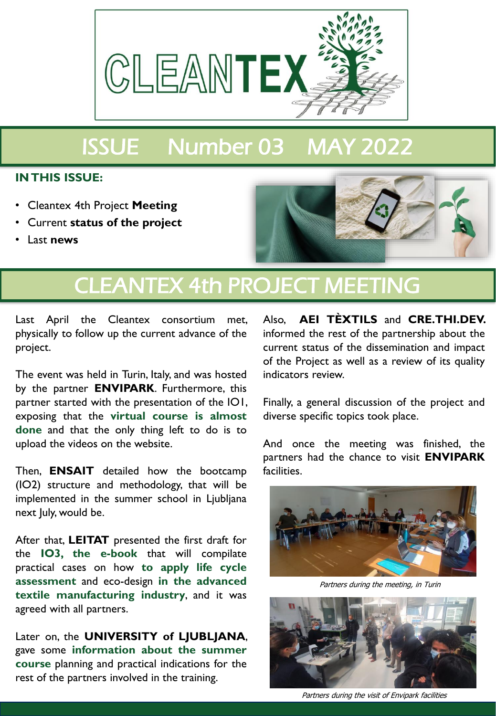

# ISSUE Number 03 MAY 2022

#### **IN THIS ISSUE:**

- Cleantex 4th Project **Meeting**
- Current **status of the project**
- Last **news**



### CLEANTEX 4th PROJECT MEETING

Last April the Cleantex consortium met, physically to follow up the current advance of the project.

The event was held in Turin, Italy, and was hosted by the partner **ENVIPARK**. Furthermore, this partner started with the presentation of the IO1, exposing that the **virtual course is almost done** and that the only thing left to do is to upload the videos on the website.

Then, **ENSAIT** detailed how the bootcamp (IO2) structure and methodology, that will be implemented in the summer school in Ljubljana next July, would be.

After that, **LEITAT** presented the first draft for the **IO3, the e-book** that will compilate practical cases on how **to apply life cycle assessment** and eco-design **in the advanced textile manufacturing industry**, and it was agreed with all partners.

Later on, the **UNIVERSITY of LJUBLJANA**, gave some **information about the summer course** planning and practical indications for the rest of the partners involved in the training.

Also, **AEI TÈXTILS** and **CRE.THI.DEV.** informed the rest of the partnership about the current status of the dissemination and impact of the Project as well as a review of its quality indicators review.

Finally, a general discussion of the project and diverse specific topics took place.

And once the meeting was finished, the partners had the chance to visit **ENVIPARK** facilities.



Partners during the meeting, in Turin



Partners during the visit of Envipark facilities